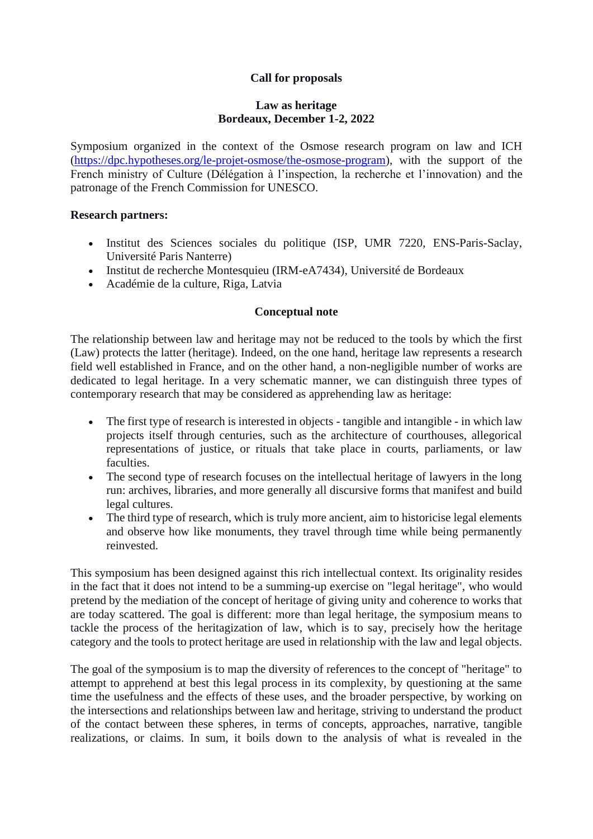# **Call for proposals**

#### **Law as heritage Bordeaux, December 1-2, 2022**

Symposium organized in the context of the Osmose research program on law and ICH [\(https://dpc.hypotheses.org/le-projet-osmose/the-osmose-program\)](https://dpc.hypotheses.org/le-projet-osmose/the-osmose-program), with the support of the French ministry of Culture (Délégation à l'inspection, la recherche et l'innovation) and the patronage of the French Commission for UNESCO.

#### **Research partners:**

- Institut des Sciences sociales du politique (ISP, UMR 7220, ENS-Paris-Saclay, Université Paris Nanterre)
- Institut de recherche Montesquieu (IRM-eA7434), Université de Bordeaux
- Académie de la culture, Riga, Latvia

## **Conceptual note**

The relationship between law and heritage may not be reduced to the tools by which the first (Law) protects the latter (heritage). Indeed, on the one hand, heritage law represents a research field well established in France, and on the other hand, a non-negligible number of works are dedicated to legal heritage. In a very schematic manner, we can distinguish three types of contemporary research that may be considered as apprehending law as heritage:

- The first type of research is interested in objects tangible and intangible in which law projects itself through centuries, such as the architecture of courthouses, allegorical representations of justice, or rituals that take place in courts, parliaments, or law faculties.
- The second type of research focuses on the intellectual heritage of lawyers in the long run: archives, libraries, and more generally all discursive forms that manifest and build legal cultures.
- The third type of research, which is truly more ancient, aim to historicise legal elements and observe how like monuments, they travel through time while being permanently reinvested.

This symposium has been designed against this rich intellectual context. Its originality resides in the fact that it does not intend to be a summing-up exercise on "legal heritage", who would pretend by the mediation of the concept of heritage of giving unity and coherence to works that are today scattered. The goal is different: more than legal heritage, the symposium means to tackle the process of the heritagization of law, which is to say, precisely how the heritage category and the tools to protect heritage are used in relationship with the law and legal objects.

The goal of the symposium is to map the diversity of references to the concept of "heritage" to attempt to apprehend at best this legal process in its complexity, by questioning at the same time the usefulness and the effects of these uses, and the broader perspective, by working on the intersections and relationships between law and heritage, striving to understand the product of the contact between these spheres, in terms of concepts, approaches, narrative, tangible realizations, or claims. In sum, it boils down to the analysis of what is revealed in the